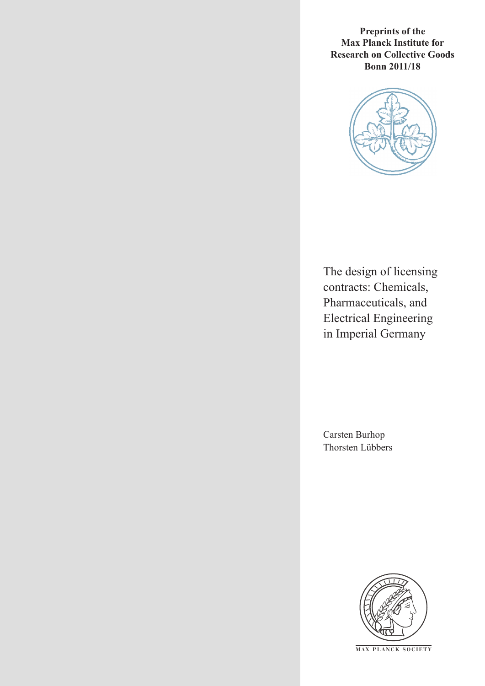**Preprints of the Max Planck Institute for Research on Collective Goods Bonn 2011/18**



The design of licensing contracts: Chemicals, Pharmaceuticals, and Electrical Engineering in Imperial Germany

Carsten Burhop Thorsten Lübbers



**M AX PLANCK SOCIETY**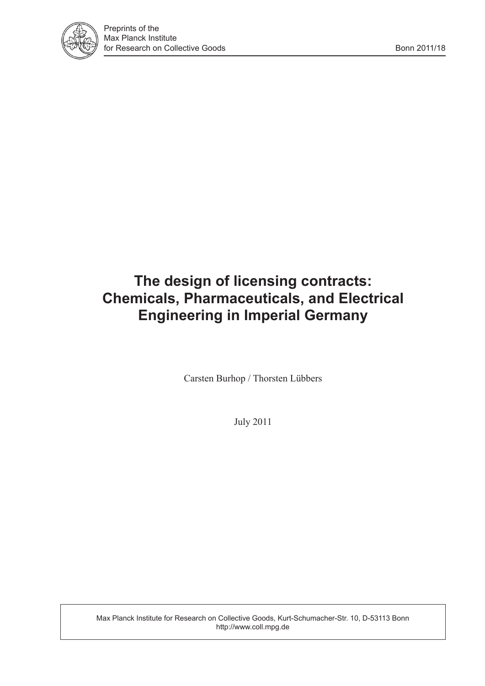

# **The design of licensing contracts: Chemicals, Pharmaceuticals, and Electrical Engineering in Imperial Germany**

Carsten Burhop / Thorsten Lübbers

July 2011

Max Planck Institute for Research on Collective Goods, Kurt-Schumacher-Str. 10, D-53113 Bonn http://www.coll.mpg.de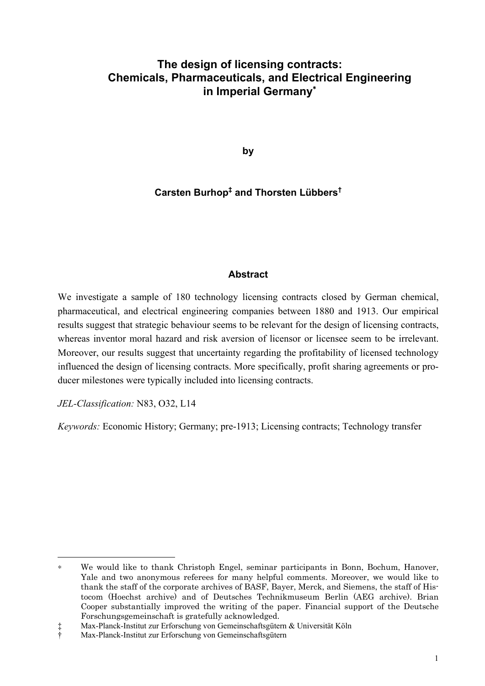# **The design of licensing contracts: Chemicals, Pharmaceuticals, and Electrical Engineering in Imperial Germany**<sup>∗</sup>

**by** 

### **Carsten Burhop‡ and Thorsten Lübbers†**

#### **Abstract**

We investigate a sample of 180 technology licensing contracts closed by German chemical, pharmaceutical, and electrical engineering companies between 1880 and 1913. Our empirical results suggest that strategic behaviour seems to be relevant for the design of licensing contracts, whereas inventor moral hazard and risk aversion of licensor or licensee seem to be irrelevant. Moreover, our results suggest that uncertainty regarding the profitability of licensed technology influenced the design of licensing contracts. More specifically, profit sharing agreements or producer milestones were typically included into licensing contracts.

*JEL-Classification:* N83, O32, L14

-

*Keywords:* Economic History; Germany; pre-1913; Licensing contracts; Technology transfer

We would like to thank Christoph Engel, seminar participants in Bonn, Bochum, Hanover, Yale and two anonymous referees for many helpful comments. Moreover, we would like to thank the staff of the corporate archives of BASF, Bayer, Merck, and Siemens, the staff of Histocom (Hoechst archive) and of Deutsches Technikmuseum Berlin (AEG archive). Brian Cooper substantially improved the writing of the paper. Financial support of the Deutsche Forschungsgemeinschaft is gratefully acknowledged.

<sup>‡</sup> Max-Planck-Institut zur Erforschung von Gemeinschaftsgütern & Universität Köln

<sup>†</sup> Max-Planck-Institut zur Erforschung von Gemeinschaftsgütern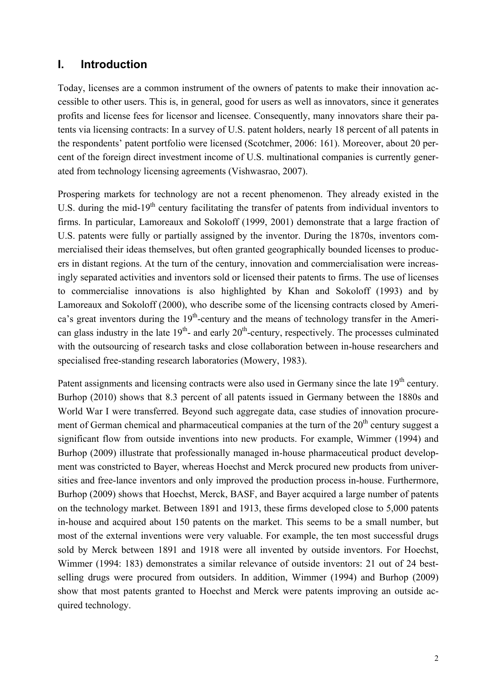## **I. Introduction**

Today, licenses are a common instrument of the owners of patents to make their innovation accessible to other users. This is, in general, good for users as well as innovators, since it generates profits and license fees for licensor and licensee. Consequently, many innovators share their patents via licensing contracts: In a survey of U.S. patent holders, nearly 18 percent of all patents in the respondents' patent portfolio were licensed (Scotchmer, 2006: 161). Moreover, about 20 percent of the foreign direct investment income of U.S. multinational companies is currently generated from technology licensing agreements (Vishwasrao, 2007).

Prospering markets for technology are not a recent phenomenon. They already existed in the U.S. during the mid-19<sup>th</sup> century facilitating the transfer of patents from individual inventors to firms. In particular, Lamoreaux and Sokoloff (1999, 2001) demonstrate that a large fraction of U.S. patents were fully or partially assigned by the inventor. During the 1870s, inventors commercialised their ideas themselves, but often granted geographically bounded licenses to producers in distant regions. At the turn of the century, innovation and commercialisation were increasingly separated activities and inventors sold or licensed their patents to firms. The use of licenses to commercialise innovations is also highlighted by Khan and Sokoloff (1993) and by Lamoreaux and Sokoloff (2000), who describe some of the licensing contracts closed by America's great inventors during the  $19<sup>th</sup>$ -century and the means of technology transfer in the American glass industry in the late  $19<sup>th</sup>$ - and early  $20<sup>th</sup>$ -century, respectively. The processes culminated with the outsourcing of research tasks and close collaboration between in-house researchers and specialised free-standing research laboratories (Mowery, 1983).

Patent assignments and licensing contracts were also used in Germany since the late 19<sup>th</sup> century. Burhop (2010) shows that 8.3 percent of all patents issued in Germany between the 1880s and World War I were transferred. Beyond such aggregate data, case studies of innovation procurement of German chemical and pharmaceutical companies at the turn of the  $20<sup>th</sup>$  century suggest a significant flow from outside inventions into new products. For example, Wimmer (1994) and Burhop (2009) illustrate that professionally managed in-house pharmaceutical product development was constricted to Bayer, whereas Hoechst and Merck procured new products from universities and free-lance inventors and only improved the production process in-house. Furthermore, Burhop (2009) shows that Hoechst, Merck, BASF, and Bayer acquired a large number of patents on the technology market. Between 1891 and 1913, these firms developed close to 5,000 patents in-house and acquired about 150 patents on the market. This seems to be a small number, but most of the external inventions were very valuable. For example, the ten most successful drugs sold by Merck between 1891 and 1918 were all invented by outside inventors. For Hoechst, Wimmer (1994: 183) demonstrates a similar relevance of outside inventors: 21 out of 24 bestselling drugs were procured from outsiders. In addition, Wimmer (1994) and Burhop (2009) show that most patents granted to Hoechst and Merck were patents improving an outside acquired technology.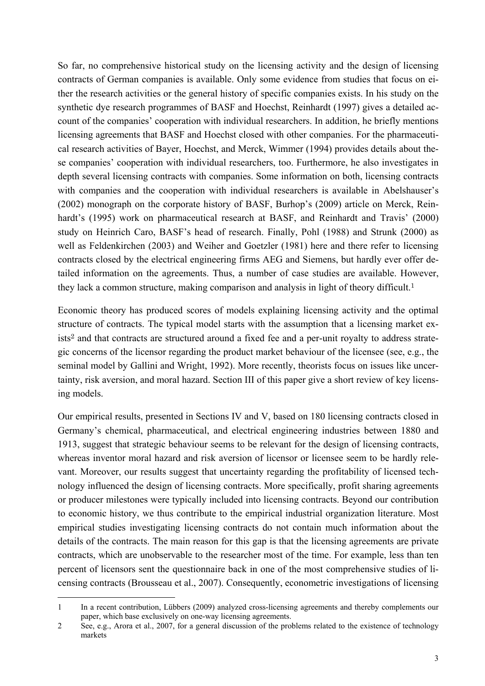So far, no comprehensive historical study on the licensing activity and the design of licensing contracts of German companies is available. Only some evidence from studies that focus on either the research activities or the general history of specific companies exists. In his study on the synthetic dye research programmes of BASF and Hoechst, Reinhardt (1997) gives a detailed account of the companies' cooperation with individual researchers. In addition, he briefly mentions licensing agreements that BASF and Hoechst closed with other companies. For the pharmaceutical research activities of Bayer, Hoechst, and Merck, Wimmer (1994) provides details about these companies' cooperation with individual researchers, too. Furthermore, he also investigates in depth several licensing contracts with companies. Some information on both, licensing contracts with companies and the cooperation with individual researchers is available in Abelshauser's (2002) monograph on the corporate history of BASF, Burhop's (2009) article on Merck, Reinhardt's (1995) work on pharmaceutical research at BASF, and Reinhardt and Travis' (2000) study on Heinrich Caro, BASF's head of research. Finally, Pohl (1988) and Strunk (2000) as well as Feldenkirchen (2003) and Weiher and Goetzler (1981) here and there refer to licensing contracts closed by the electrical engineering firms AEG and Siemens, but hardly ever offer detailed information on the agreements. Thus, a number of case studies are available. However, they lack a common structure, making comparison and analysis in light of theory difficult.<sup>1</sup>

Economic theory has produced scores of models explaining licensing activity and the optimal structure of contracts. The typical model starts with the assumption that a licensing market exists2 and that contracts are structured around a fixed fee and a per-unit royalty to address strategic concerns of the licensor regarding the product market behaviour of the licensee (see, e.g., the seminal model by Gallini and Wright, 1992). More recently, theorists focus on issues like uncertainty, risk aversion, and moral hazard. Section III of this paper give a short review of key licensing models.

Our empirical results, presented in Sections IV and V, based on 180 licensing contracts closed in Germany's chemical, pharmaceutical, and electrical engineering industries between 1880 and 1913, suggest that strategic behaviour seems to be relevant for the design of licensing contracts, whereas inventor moral hazard and risk aversion of licensor or licensee seem to be hardly relevant. Moreover, our results suggest that uncertainty regarding the profitability of licensed technology influenced the design of licensing contracts. More specifically, profit sharing agreements or producer milestones were typically included into licensing contracts. Beyond our contribution to economic history, we thus contribute to the empirical industrial organization literature. Most empirical studies investigating licensing contracts do not contain much information about the details of the contracts. The main reason for this gap is that the licensing agreements are private contracts, which are unobservable to the researcher most of the time. For example, less than ten percent of licensors sent the questionnaire back in one of the most comprehensive studies of licensing contracts (Brousseau et al., 2007). Consequently, econometric investigations of licensing

<sup>1</sup> In a recent contribution, Lübbers (2009) analyzed cross-licensing agreements and thereby complements our paper, which base exclusively on one-way licensing agreements.

<sup>2</sup> See, e.g., Arora et al., 2007, for a general discussion of the problems related to the existence of technology markets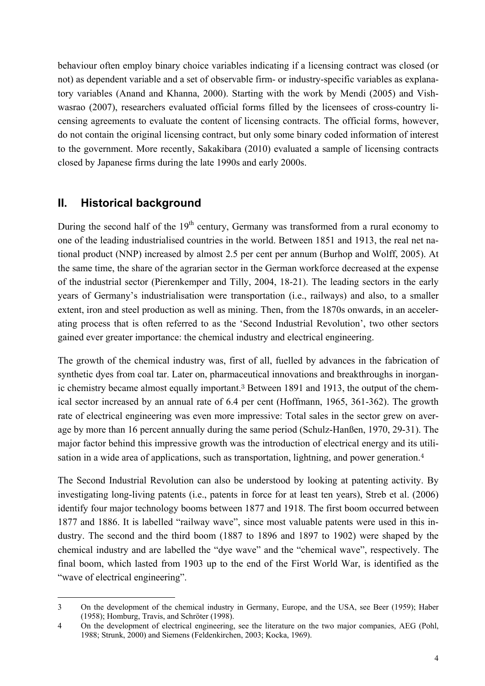behaviour often employ binary choice variables indicating if a licensing contract was closed (or not) as dependent variable and a set of observable firm- or industry-specific variables as explanatory variables (Anand and Khanna, 2000). Starting with the work by Mendi (2005) and Vishwasrao (2007), researchers evaluated official forms filled by the licensees of cross-country licensing agreements to evaluate the content of licensing contracts. The official forms, however, do not contain the original licensing contract, but only some binary coded information of interest to the government. More recently, Sakakibara (2010) evaluated a sample of licensing contracts closed by Japanese firms during the late 1990s and early 2000s.

# **II. Historical background**

-

During the second half of the  $19<sup>th</sup>$  century, Germany was transformed from a rural economy to one of the leading industrialised countries in the world. Between 1851 and 1913, the real net national product (NNP) increased by almost 2.5 per cent per annum (Burhop and Wolff, 2005). At the same time, the share of the agrarian sector in the German workforce decreased at the expense of the industrial sector (Pierenkemper and Tilly, 2004, 18-21). The leading sectors in the early years of Germany's industrialisation were transportation (i.e., railways) and also, to a smaller extent, iron and steel production as well as mining. Then, from the 1870s onwards, in an accelerating process that is often referred to as the 'Second Industrial Revolution', two other sectors gained ever greater importance: the chemical industry and electrical engineering.

The growth of the chemical industry was, first of all, fuelled by advances in the fabrication of synthetic dyes from coal tar. Later on, pharmaceutical innovations and breakthroughs in inorganic chemistry became almost equally important.3 Between 1891 and 1913, the output of the chemical sector increased by an annual rate of 6.4 per cent (Hoffmann, 1965, 361-362). The growth rate of electrical engineering was even more impressive: Total sales in the sector grew on average by more than 16 percent annually during the same period (Schulz-Hanßen, 1970, 29-31). The major factor behind this impressive growth was the introduction of electrical energy and its utilisation in a wide area of applications, such as transportation, lightning, and power generation.<sup>4</sup>

The Second Industrial Revolution can also be understood by looking at patenting activity. By investigating long-living patents (i.e., patents in force for at least ten years), Streb et al. (2006) identify four major technology booms between 1877 and 1918. The first boom occurred between 1877 and 1886. It is labelled "railway wave", since most valuable patents were used in this industry. The second and the third boom (1887 to 1896 and 1897 to 1902) were shaped by the chemical industry and are labelled the "dye wave" and the "chemical wave", respectively. The final boom, which lasted from 1903 up to the end of the First World War, is identified as the "wave of electrical engineering".

<sup>3</sup> On the development of the chemical industry in Germany, Europe, and the USA, see Beer (1959); Haber (1958); Homburg, Travis, and Schröter (1998).

<sup>4</sup> On the development of electrical engineering, see the literature on the two major companies, AEG (Pohl, 1988; Strunk, 2000) and Siemens (Feldenkirchen, 2003; Kocka, 1969).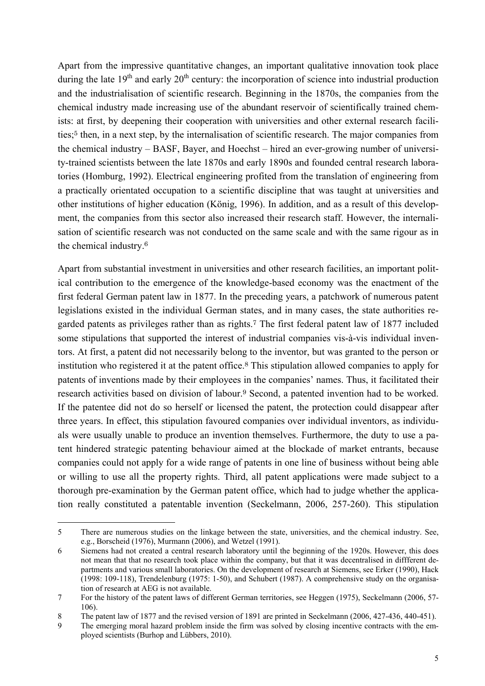Apart from the impressive quantitative changes, an important qualitative innovation took place during the late  $19<sup>th</sup>$  and early  $20<sup>th</sup>$  century: the incorporation of science into industrial production and the industrialisation of scientific research. Beginning in the 1870s, the companies from the chemical industry made increasing use of the abundant reservoir of scientifically trained chemists: at first, by deepening their cooperation with universities and other external research facilities;5 then, in a next step, by the internalisation of scientific research. The major companies from the chemical industry – BASF, Bayer, and Hoechst – hired an ever-growing number of university-trained scientists between the late 1870s and early 1890s and founded central research laboratories (Homburg, 1992). Electrical engineering profited from the translation of engineering from a practically orientated occupation to a scientific discipline that was taught at universities and other institutions of higher education (König, 1996). In addition, and as a result of this development, the companies from this sector also increased their research staff. However, the internalisation of scientific research was not conducted on the same scale and with the same rigour as in the chemical industry.<sup>6</sup>

Apart from substantial investment in universities and other research facilities, an important political contribution to the emergence of the knowledge-based economy was the enactment of the first federal German patent law in 1877. In the preceding years, a patchwork of numerous patent legislations existed in the individual German states, and in many cases, the state authorities regarded patents as privileges rather than as rights.7 The first federal patent law of 1877 included some stipulations that supported the interest of industrial companies vis-à-vis individual inventors. At first, a patent did not necessarily belong to the inventor, but was granted to the person or institution who registered it at the patent office.8 This stipulation allowed companies to apply for patents of inventions made by their employees in the companies' names. Thus, it facilitated their research activities based on division of labour.9 Second, a patented invention had to be worked. If the patentee did not do so herself or licensed the patent, the protection could disappear after three years. In effect, this stipulation favoured companies over individual inventors, as individuals were usually unable to produce an invention themselves. Furthermore, the duty to use a patent hindered strategic patenting behaviour aimed at the blockade of market entrants, because companies could not apply for a wide range of patents in one line of business without being able or willing to use all the property rights. Third, all patent applications were made subject to a thorough pre-examination by the German patent office, which had to judge whether the application really constituted a patentable invention (Seckelmann, 2006, 257-260). This stipulation

<sup>-</sup>5 There are numerous studies on the linkage between the state, universities, and the chemical industry. See, e.g., Borscheid (1976), Murmann (2006), and Wetzel (1991).

<sup>6</sup> Siemens had not created a central research laboratory until the beginning of the 1920s. However, this does not mean that that no research took place within the company, but that it was decentralised in diffferent departments and various small laboratories. On the development of research at Siemens, see Erker (1990), Hack (1998: 109-118), Trendelenburg (1975: 1-50), and Schubert (1987). A comprehensive study on the organisation of research at AEG is not available.

<sup>7</sup> For the history of the patent laws of different German territories, see Heggen (1975), Seckelmann (2006, 57- 106).

<sup>8</sup> The patent law of 1877 and the revised version of 1891 are printed in Seckelmann (2006, 427-436, 440-451).

<sup>9</sup> The emerging moral hazard problem inside the firm was solved by closing incentive contracts with the employed scientists (Burhop and Lübbers, 2010).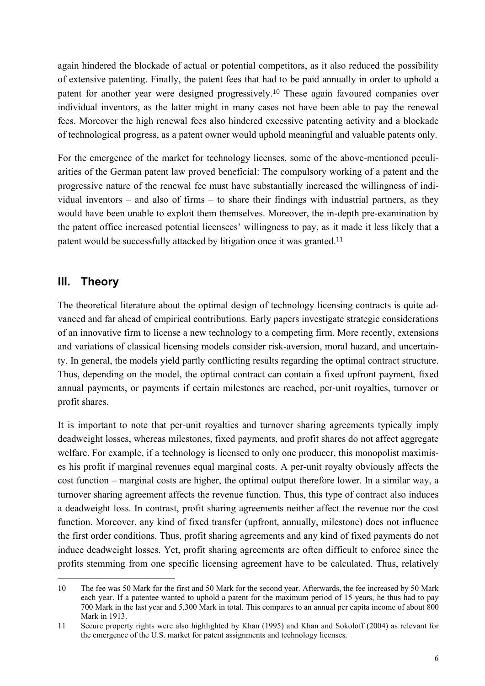again hindered the blockade of actual or potential competitors, as it also reduced the possibility of extensive patenting. Finally, the patent fees that had to be paid annually in order to uphold a patent for another year were designed progressively.10 These again favoured companies over individual inventors, as the latter might in many cases not have been able to pay the renewal fees. Moreover the high renewal fees also hindered excessive patenting activity and a blockade of technological progress, as a patent owner would uphold meaningful and valuable patents only.

For the emergence of the market for technology licenses, some of the above-mentioned peculiarities of the German patent law proved beneficial: The compulsory working of a patent and the progressive nature of the renewal fee must have substantially increased the willingness of individual inventors – and also of firms – to share their findings with industrial partners, as they would have been unable to exploit them themselves. Moreover, the in-depth pre-examination by the patent office increased potential licensees' willingness to pay, as it made it less likely that a patent would be successfully attacked by litigation once it was granted.<sup>11</sup>

# **III. Theory**

-

The theoretical literature about the optimal design of technology licensing contracts is quite advanced and far ahead of empirical contributions. Early papers investigate strategic considerations of an innovative firm to license a new technology to a competing firm. More recently, extensions and variations of classical licensing models consider risk-aversion, moral hazard, and uncertainty. In general, the models yield partly conflicting results regarding the optimal contract structure. Thus, depending on the model, the optimal contract can contain a fixed upfront payment, fixed annual payments, or payments if certain milestones are reached, per-unit royalties, turnover or profit shares.

It is important to note that per-unit royalties and turnover sharing agreements typically imply deadweight losses, whereas milestones, fixed payments, and profit shares do not affect aggregate welfare. For example, if a technology is licensed to only one producer, this monopolist maximises his profit if marginal revenues equal marginal costs. A per-unit royalty obviously affects the cost function – marginal costs are higher, the optimal output therefore lower. In a similar way, a turnover sharing agreement affects the revenue function. Thus, this type of contract also induces a deadweight loss. In contrast, profit sharing agreements neither affect the revenue nor the cost function. Moreover, any kind of fixed transfer (upfront, annually, milestone) does not influence the first order conditions. Thus, profit sharing agreements and any kind of fixed payments do not induce deadweight losses. Yet, profit sharing agreements are often difficult to enforce since the profits stemming from one specific licensing agreement have to be calculated. Thus, relatively

<sup>10</sup> The fee was 50 Mark for the first and 50 Mark for the second year. Afterwards, the fee increased by 50 Mark each year. If a patentee wanted to uphold a patent for the maximum period of 15 years, he thus had to pay 700 Mark in the last year and 5,300 Mark in total. This compares to an annual per capita income of about 800 Mark in 1913.

<sup>11</sup> Secure property rights were also highlighted by Khan (1995) and Khan and Sokoloff (2004) as relevant for the emergence of the U.S. market for patent assignments and technology licenses.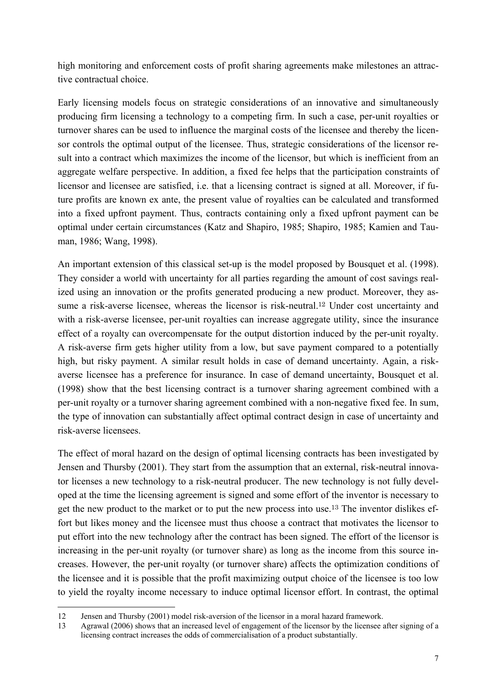high monitoring and enforcement costs of profit sharing agreements make milestones an attractive contractual choice.

Early licensing models focus on strategic considerations of an innovative and simultaneously producing firm licensing a technology to a competing firm. In such a case, per-unit royalties or turnover shares can be used to influence the marginal costs of the licensee and thereby the licensor controls the optimal output of the licensee. Thus, strategic considerations of the licensor result into a contract which maximizes the income of the licensor, but which is inefficient from an aggregate welfare perspective. In addition, a fixed fee helps that the participation constraints of licensor and licensee are satisfied, i.e. that a licensing contract is signed at all. Moreover, if future profits are known ex ante, the present value of royalties can be calculated and transformed into a fixed upfront payment. Thus, contracts containing only a fixed upfront payment can be optimal under certain circumstances (Katz and Shapiro, 1985; Shapiro, 1985; Kamien and Tauman, 1986; Wang, 1998).

An important extension of this classical set-up is the model proposed by Bousquet et al. (1998). They consider a world with uncertainty for all parties regarding the amount of cost savings realized using an innovation or the profits generated producing a new product. Moreover, they assume a risk-averse licensee, whereas the licensor is risk-neutral.<sup>12</sup> Under cost uncertainty and with a risk-averse licensee, per-unit royalties can increase aggregate utility, since the insurance effect of a royalty can overcompensate for the output distortion induced by the per-unit royalty. A risk-averse firm gets higher utility from a low, but save payment compared to a potentially high, but risky payment. A similar result holds in case of demand uncertainty. Again, a riskaverse licensee has a preference for insurance. In case of demand uncertainty, Bousquet et al. (1998) show that the best licensing contract is a turnover sharing agreement combined with a per-unit royalty or a turnover sharing agreement combined with a non-negative fixed fee. In sum, the type of innovation can substantially affect optimal contract design in case of uncertainty and risk-averse licensees.

The effect of moral hazard on the design of optimal licensing contracts has been investigated by Jensen and Thursby (2001). They start from the assumption that an external, risk-neutral innovator licenses a new technology to a risk-neutral producer. The new technology is not fully developed at the time the licensing agreement is signed and some effort of the inventor is necessary to get the new product to the market or to put the new process into use.13 The inventor dislikes effort but likes money and the licensee must thus choose a contract that motivates the licensor to put effort into the new technology after the contract has been signed. The effort of the licensor is increasing in the per-unit royalty (or turnover share) as long as the income from this source increases. However, the per-unit royalty (or turnover share) affects the optimization conditions of the licensee and it is possible that the profit maximizing output choice of the licensee is too low to yield the royalty income necessary to induce optimal licensor effort. In contrast, the optimal

<sup>12</sup> Jensen and Thursby (2001) model risk-aversion of the licensor in a moral hazard framework.

<sup>13</sup> Agrawal (2006) shows that an increased level of engagement of the licensor by the licensee after signing of a licensing contract increases the odds of commercialisation of a product substantially.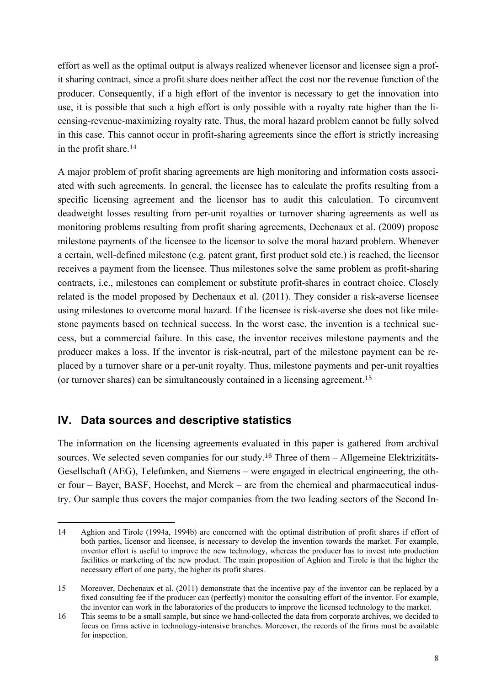effort as well as the optimal output is always realized whenever licensor and licensee sign a profit sharing contract, since a profit share does neither affect the cost nor the revenue function of the producer. Consequently, if a high effort of the inventor is necessary to get the innovation into use, it is possible that such a high effort is only possible with a royalty rate higher than the licensing-revenue-maximizing royalty rate. Thus, the moral hazard problem cannot be fully solved in this case. This cannot occur in profit-sharing agreements since the effort is strictly increasing in the profit share.<sup>14</sup>

A major problem of profit sharing agreements are high monitoring and information costs associated with such agreements. In general, the licensee has to calculate the profits resulting from a specific licensing agreement and the licensor has to audit this calculation. To circumvent deadweight losses resulting from per-unit royalties or turnover sharing agreements as well as monitoring problems resulting from profit sharing agreements, Dechenaux et al. (2009) propose milestone payments of the licensee to the licensor to solve the moral hazard problem. Whenever a certain, well-defined milestone (e.g. patent grant, first product sold etc.) is reached, the licensor receives a payment from the licensee. Thus milestones solve the same problem as profit-sharing contracts, i.e., milestones can complement or substitute profit-shares in contract choice. Closely related is the model proposed by Dechenaux et al. (2011). They consider a risk-averse licensee using milestones to overcome moral hazard. If the licensee is risk-averse she does not like milestone payments based on technical success. In the worst case, the invention is a technical success, but a commercial failure. In this case, the inventor receives milestone payments and the producer makes a loss. If the inventor is risk-neutral, part of the milestone payment can be replaced by a turnover share or a per-unit royalty. Thus, milestone payments and per-unit royalties (or turnover shares) can be simultaneously contained in a licensing agreement.<sup>15</sup>

## **IV. Data sources and descriptive statistics**

The information on the licensing agreements evaluated in this paper is gathered from archival sources. We selected seven companies for our study.<sup>16</sup> Three of them – Allgemeine Elektrizitäts-Gesellschaft (AEG), Telefunken, and Siemens – were engaged in electrical engineering, the other four – Bayer, BASF, Hoechst, and Merck – are from the chemical and pharmaceutical industry. Our sample thus covers the major companies from the two leading sectors of the Second In-

<sup>-</sup>14 Aghion and Tirole (1994a, 1994b) are concerned with the optimal distribution of profit shares if effort of both parties, licensor and licensee, is necessary to develop the invention towards the market. For example, inventor effort is useful to improve the new technology, whereas the producer has to invest into production facilities or marketing of the new product. The main proposition of Aghion and Tirole is that the higher the necessary effort of one party, the higher its profit shares.

<sup>15</sup> Moreover, Dechenaux et al. (2011) demonstrate that the incentive pay of the inventor can be replaced by a fixed consulting fee if the producer can (perfectly) monitor the consulting effort of the inventor. For example, the inventor can work in the laboratories of the producers to improve the licensed technology to the market.

<sup>16</sup> This seems to be a small sample, but since we hand-collected the data from corporate archives, we decided to focus on firms active in technology-intensive branches. Moreover, the records of the firms must be available for inspection.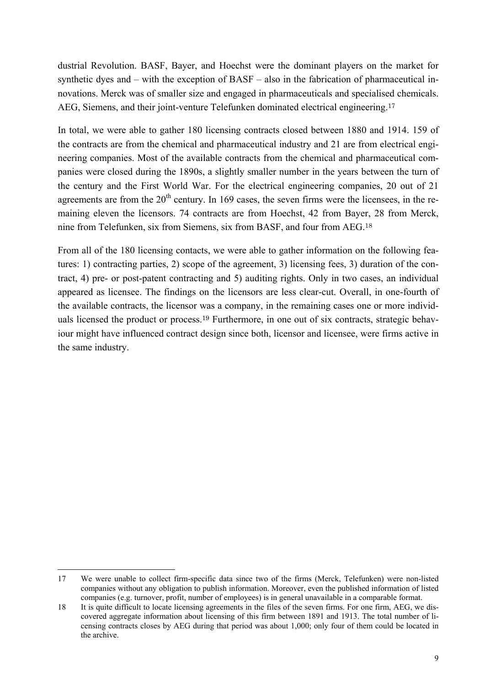dustrial Revolution. BASF, Bayer, and Hoechst were the dominant players on the market for synthetic dyes and – with the exception of BASF – also in the fabrication of pharmaceutical innovations. Merck was of smaller size and engaged in pharmaceuticals and specialised chemicals. AEG, Siemens, and their joint-venture Telefunken dominated electrical engineering.<sup>17</sup>

In total, we were able to gather 180 licensing contracts closed between 1880 and 1914. 159 of the contracts are from the chemical and pharmaceutical industry and 21 are from electrical engineering companies. Most of the available contracts from the chemical and pharmaceutical companies were closed during the 1890s, a slightly smaller number in the years between the turn of the century and the First World War. For the electrical engineering companies, 20 out of 21 agreements are from the  $20<sup>th</sup>$  century. In 169 cases, the seven firms were the licensees, in the remaining eleven the licensors. 74 contracts are from Hoechst, 42 from Bayer, 28 from Merck, nine from Telefunken, six from Siemens, six from BASF, and four from AEG.<sup>18</sup>

From all of the 180 licensing contacts, we were able to gather information on the following features: 1) contracting parties, 2) scope of the agreement, 3) licensing fees, 3) duration of the contract, 4) pre- or post-patent contracting and 5) auditing rights. Only in two cases, an individual appeared as licensee. The findings on the licensors are less clear-cut. Overall, in one-fourth of the available contracts, the licensor was a company, in the remaining cases one or more individuals licensed the product or process.19 Furthermore, in one out of six contracts, strategic behaviour might have influenced contract design since both, licensor and licensee, were firms active in the same industry.

<sup>17</sup> We were unable to collect firm-specific data since two of the firms (Merck, Telefunken) were non-listed companies without any obligation to publish information. Moreover, even the published information of listed companies (e.g. turnover, profit, number of employees) is in general unavailable in a comparable format.

<sup>18</sup> It is quite difficult to locate licensing agreements in the files of the seven firms. For one firm, AEG, we discovered aggregate information about licensing of this firm between 1891 and 1913. The total number of licensing contracts closes by AEG during that period was about 1,000; only four of them could be located in the archive.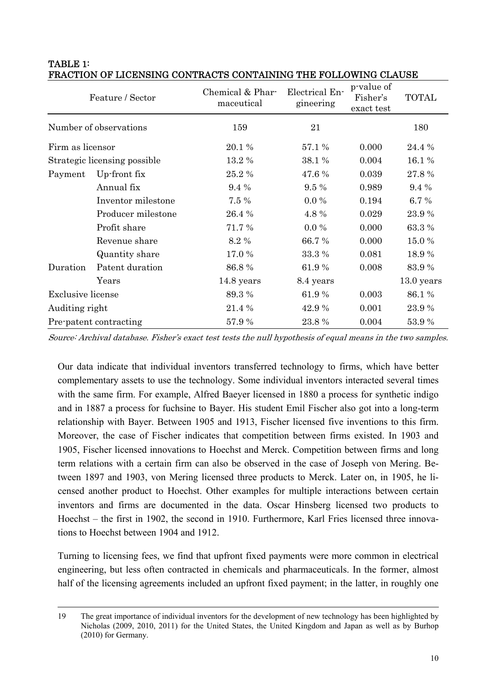| Feature / Sector             |                    | Chemical & Phar-<br>maceutical | Electrical En-<br>gineering | p-value of<br>Fisher's<br>exact test | <b>TOTAL</b> |  |
|------------------------------|--------------------|--------------------------------|-----------------------------|--------------------------------------|--------------|--|
| Number of observations       |                    | 159                            | 21                          |                                      | 180          |  |
| Firm as licensor             |                    | 20.1 %                         | 57.1 %                      | 0.000                                | 24.4 %       |  |
| Strategic licensing possible |                    | 13.2 %                         | 38.1 %                      | 0.004                                | 16.1%        |  |
| Payment                      | Up-front fix       | 25.2%                          | 47.6%                       | 0.039                                | 27.8%        |  |
|                              | Annual fix         | 9.4 %                          | $9.5\%$                     | 0.989                                | 9.4 %        |  |
|                              | Inventor milestone | 7.5 %                          | $0.0\%$                     | 0.194                                | 6.7%         |  |
|                              | Producer milestone | 26.4 %                         | 4.8%                        | 0.029                                | 23.9%        |  |
|                              | Profit share       | 71.7%                          | $0.0\%$                     | 0.000                                | 63.3%        |  |
|                              | Revenue share      | 8.2%                           | 66.7%                       | 0.000                                | 15.0%        |  |
|                              | Quantity share     | 17.0 %                         | 33.3 %                      | 0.081                                | 18.9%        |  |
| Duration                     | Patent duration    | 86.8%                          | 61.9%                       | 0.008                                | 83.9%        |  |
|                              | Years              | 14.8 years                     | 8.4 years                   |                                      | $13.0$ years |  |
| Exclusive license            |                    | 89.3%                          | 61.9%                       | 0.003                                | 86.1%        |  |
| Auditing right               |                    | 21.4 %                         | 42.9%                       | 0.001                                | 23.9%        |  |
| Pre-patent contracting       |                    | 57.9%                          | 23.8%                       | 0.004                                | 53.9%        |  |

### TABLE 1: FRACTION OF LICENSING CONTRACTS CONTAINING THE FOLLOWING CLAUSE

Source: Archival database. Fisher's exact test tests the null hypothesis of equal means in the two samples.

Our data indicate that individual inventors transferred technology to firms, which have better complementary assets to use the technology. Some individual inventors interacted several times with the same firm. For example, Alfred Baeyer licensed in 1880 a process for synthetic indigo and in 1887 a process for fuchsine to Bayer. His student Emil Fischer also got into a long-term relationship with Bayer. Between 1905 and 1913, Fischer licensed five inventions to this firm. Moreover, the case of Fischer indicates that competition between firms existed. In 1903 and 1905, Fischer licensed innovations to Hoechst and Merck. Competition between firms and long term relations with a certain firm can also be observed in the case of Joseph von Mering. Between 1897 and 1903, von Mering licensed three products to Merck. Later on, in 1905, he licensed another product to Hoechst. Other examples for multiple interactions between certain inventors and firms are documented in the data. Oscar Hinsberg licensed two products to Hoechst – the first in 1902, the second in 1910. Furthermore, Karl Fries licensed three innovations to Hoechst between 1904 and 1912.

Turning to licensing fees, we find that upfront fixed payments were more common in electrical engineering, but less often contracted in chemicals and pharmaceuticals. In the former, almost half of the licensing agreements included an upfront fixed payment; in the latter, in roughly one

<sup>19</sup> The great importance of individual inventors for the development of new technology has been highlighted by Nicholas (2009, 2010, 2011) for the United States, the United Kingdom and Japan as well as by Burhop (2010) for Germany.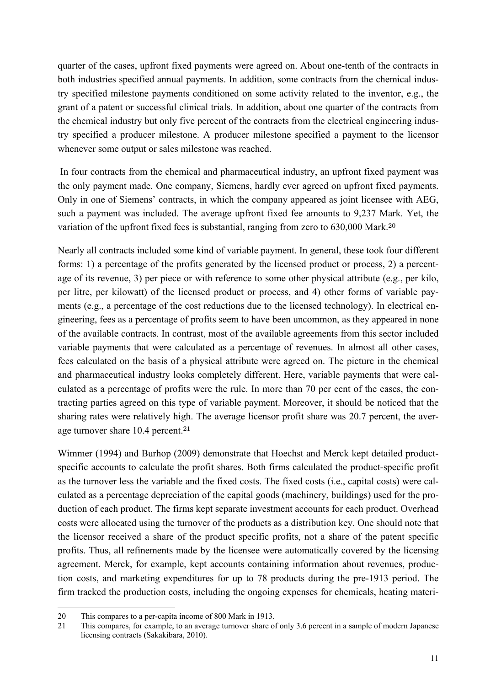quarter of the cases, upfront fixed payments were agreed on. About one-tenth of the contracts in both industries specified annual payments. In addition, some contracts from the chemical industry specified milestone payments conditioned on some activity related to the inventor, e.g., the grant of a patent or successful clinical trials. In addition, about one quarter of the contracts from the chemical industry but only five percent of the contracts from the electrical engineering industry specified a producer milestone. A producer milestone specified a payment to the licensor whenever some output or sales milestone was reached.

 In four contracts from the chemical and pharmaceutical industry, an upfront fixed payment was the only payment made. One company, Siemens, hardly ever agreed on upfront fixed payments. Only in one of Siemens' contracts, in which the company appeared as joint licensee with AEG, such a payment was included. The average upfront fixed fee amounts to 9,237 Mark. Yet, the variation of the upfront fixed fees is substantial, ranging from zero to 630,000 Mark.<sup>20</sup>

Nearly all contracts included some kind of variable payment. In general, these took four different forms: 1) a percentage of the profits generated by the licensed product or process, 2) a percentage of its revenue, 3) per piece or with reference to some other physical attribute (e.g., per kilo, per litre, per kilowatt) of the licensed product or process, and 4) other forms of variable payments (e.g., a percentage of the cost reductions due to the licensed technology). In electrical engineering, fees as a percentage of profits seem to have been uncommon, as they appeared in none of the available contracts. In contrast, most of the available agreements from this sector included variable payments that were calculated as a percentage of revenues. In almost all other cases, fees calculated on the basis of a physical attribute were agreed on. The picture in the chemical and pharmaceutical industry looks completely different. Here, variable payments that were calculated as a percentage of profits were the rule. In more than 70 per cent of the cases, the contracting parties agreed on this type of variable payment. Moreover, it should be noticed that the sharing rates were relatively high. The average licensor profit share was 20.7 percent, the average turnover share 10.4 percent.<sup>21</sup>

Wimmer (1994) and Burhop (2009) demonstrate that Hoechst and Merck kept detailed productspecific accounts to calculate the profit shares. Both firms calculated the product-specific profit as the turnover less the variable and the fixed costs. The fixed costs (i.e., capital costs) were calculated as a percentage depreciation of the capital goods (machinery, buildings) used for the production of each product. The firms kept separate investment accounts for each product. Overhead costs were allocated using the turnover of the products as a distribution key. One should note that the licensor received a share of the product specific profits, not a share of the patent specific profits. Thus, all refinements made by the licensee were automatically covered by the licensing agreement. Merck, for example, kept accounts containing information about revenues, production costs, and marketing expenditures for up to 78 products during the pre-1913 period. The firm tracked the production costs, including the ongoing expenses for chemicals, heating materi-

<sup>20</sup> This compares to a per-capita income of 800 Mark in 1913.

<sup>21</sup> This compares, for example, to an average turnover share of only 3.6 percent in a sample of modern Japanese licensing contracts (Sakakibara, 2010).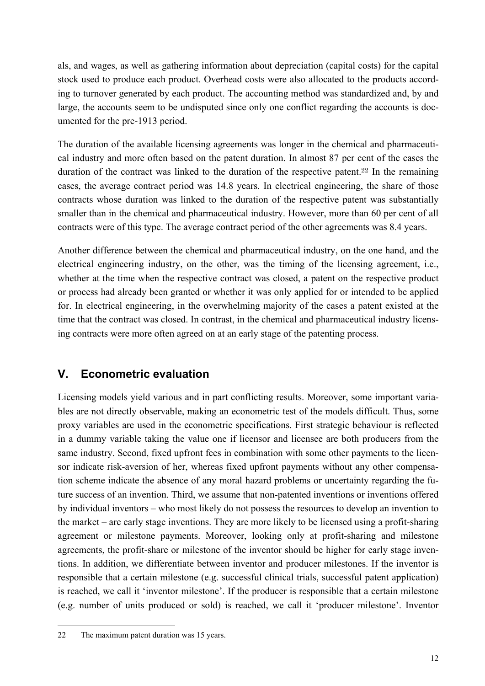als, and wages, as well as gathering information about depreciation (capital costs) for the capital stock used to produce each product. Overhead costs were also allocated to the products according to turnover generated by each product. The accounting method was standardized and, by and large, the accounts seem to be undisputed since only one conflict regarding the accounts is documented for the pre-1913 period.

The duration of the available licensing agreements was longer in the chemical and pharmaceutical industry and more often based on the patent duration. In almost 87 per cent of the cases the duration of the contract was linked to the duration of the respective patent.<sup>22</sup> In the remaining cases, the average contract period was 14.8 years. In electrical engineering, the share of those contracts whose duration was linked to the duration of the respective patent was substantially smaller than in the chemical and pharmaceutical industry. However, more than 60 per cent of all contracts were of this type. The average contract period of the other agreements was 8.4 years.

Another difference between the chemical and pharmaceutical industry, on the one hand, and the electrical engineering industry, on the other, was the timing of the licensing agreement, i.e., whether at the time when the respective contract was closed, a patent on the respective product or process had already been granted or whether it was only applied for or intended to be applied for. In electrical engineering, in the overwhelming majority of the cases a patent existed at the time that the contract was closed. In contrast, in the chemical and pharmaceutical industry licensing contracts were more often agreed on at an early stage of the patenting process.

# **V. Econometric evaluation**

Licensing models yield various and in part conflicting results. Moreover, some important variables are not directly observable, making an econometric test of the models difficult. Thus, some proxy variables are used in the econometric specifications. First strategic behaviour is reflected in a dummy variable taking the value one if licensor and licensee are both producers from the same industry. Second, fixed upfront fees in combination with some other payments to the licensor indicate risk-aversion of her, whereas fixed upfront payments without any other compensation scheme indicate the absence of any moral hazard problems or uncertainty regarding the future success of an invention. Third, we assume that non-patented inventions or inventions offered by individual inventors – who most likely do not possess the resources to develop an invention to the market – are early stage inventions. They are more likely to be licensed using a profit-sharing agreement or milestone payments. Moreover, looking only at profit-sharing and milestone agreements, the profit-share or milestone of the inventor should be higher for early stage inventions. In addition, we differentiate between inventor and producer milestones. If the inventor is responsible that a certain milestone (e.g. successful clinical trials, successful patent application) is reached, we call it 'inventor milestone'. If the producer is responsible that a certain milestone (e.g. number of units produced or sold) is reached, we call it 'producer milestone'. Inventor

<sup>-</sup>22 The maximum patent duration was 15 years.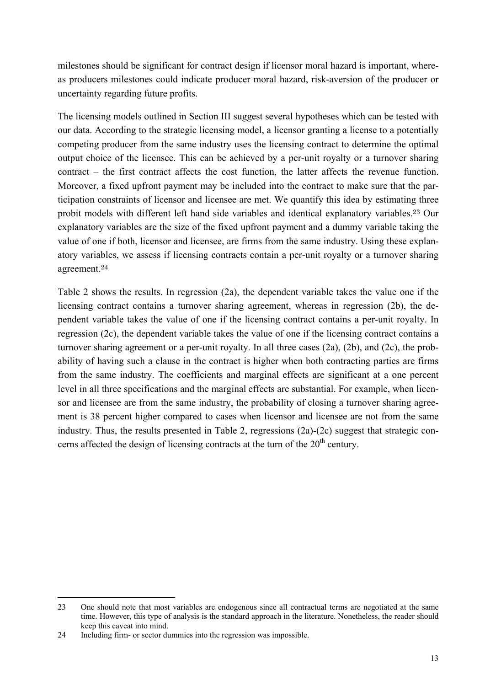milestones should be significant for contract design if licensor moral hazard is important, whereas producers milestones could indicate producer moral hazard, risk-aversion of the producer or uncertainty regarding future profits.

The licensing models outlined in Section III suggest several hypotheses which can be tested with our data. According to the strategic licensing model, a licensor granting a license to a potentially competing producer from the same industry uses the licensing contract to determine the optimal output choice of the licensee. This can be achieved by a per-unit royalty or a turnover sharing contract – the first contract affects the cost function, the latter affects the revenue function. Moreover, a fixed upfront payment may be included into the contract to make sure that the participation constraints of licensor and licensee are met. We quantify this idea by estimating three probit models with different left hand side variables and identical explanatory variables.23 Our explanatory variables are the size of the fixed upfront payment and a dummy variable taking the value of one if both, licensor and licensee, are firms from the same industry. Using these explanatory variables, we assess if licensing contracts contain a per-unit royalty or a turnover sharing agreement.<sup>24</sup>

Table 2 shows the results. In regression (2a), the dependent variable takes the value one if the licensing contract contains a turnover sharing agreement, whereas in regression (2b), the dependent variable takes the value of one if the licensing contract contains a per-unit royalty. In regression (2c), the dependent variable takes the value of one if the licensing contract contains a turnover sharing agreement or a per-unit royalty. In all three cases (2a), (2b), and (2c), the probability of having such a clause in the contract is higher when both contracting parties are firms from the same industry. The coefficients and marginal effects are significant at a one percent level in all three specifications and the marginal effects are substantial. For example, when licensor and licensee are from the same industry, the probability of closing a turnover sharing agreement is 38 percent higher compared to cases when licensor and licensee are not from the same industry. Thus, the results presented in Table 2, regressions (2a)-(2c) suggest that strategic concerns affected the design of licensing contracts at the turn of the  $20<sup>th</sup>$  century.

<sup>-</sup>23 One should note that most variables are endogenous since all contractual terms are negotiated at the same time. However, this type of analysis is the standard approach in the literature. Nonetheless, the reader should keep this caveat into mind.

<sup>24</sup> Including firm- or sector dummies into the regression was impossible.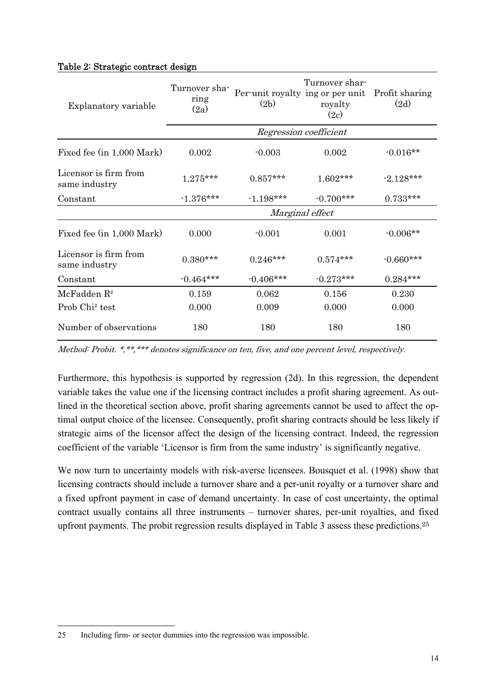### Table 2: Strategic contract design

| Explanatory variable                   | Turnover sha-<br>ring<br>(2a) | Per-unit royalty ing or per unit<br>(2b) | Turnover shar-<br>royalty<br>(2c) | Profit sharing<br>(2d) |  |
|----------------------------------------|-------------------------------|------------------------------------------|-----------------------------------|------------------------|--|
|                                        |                               |                                          | Regression coefficient            |                        |  |
| Fixed fee (in 1,000 Mark)              | 0.002                         | $-0.003$                                 | 0.002                             | $-0.016**$             |  |
| Licensor is firm from<br>same industry | $1.275***$                    | $0.857***$                               | $1.602***$                        | $-2.128***$            |  |
| Constant                               | $-1.376***$                   | $-1.198***$                              | $-0.700***$                       | $0.733***$             |  |
|                                        | Marginal effect               |                                          |                                   |                        |  |
| Fixed fee (in 1,000 Mark)              | 0.000                         | $-0.001$                                 | 0.001                             | $-0.006**$             |  |
| Licensor is firm from<br>same industry | $0.380***$                    | $0.246***$                               | $0.574***$                        | $-0.660***$            |  |
| Constant                               | $-0.464***$                   | $-0.406***$                              | $-0.273***$                       | $0.284***$             |  |
| McFadden R <sup>2</sup>                | 0.159                         | 0.062                                    | 0.156                             | 0.230                  |  |
| Prob Chi <sup>2</sup> test             | 0.000                         | 0.009                                    | 0.000                             | 0.000                  |  |
| Number of observations                 | 180                           | 180                                      | 180                               | 180                    |  |

Method: Probit. \*,\*\*,\*\*\* denotes significance on ten, five, and one percent level, respectively.

Furthermore, this hypothesis is supported by regression (2d). In this regression, the dependent variable takes the value one if the licensing contract includes a profit sharing agreement. As outlined in the theoretical section above, profit sharing agreements cannot be used to affect the optimal output choice of the licensee. Consequently, profit sharing contracts should be less likely if strategic aims of the licensor affect the design of the licensing contract. Indeed, the regression coefficient of the variable 'Licensor is firm from the same industry' is significantly negative.

We now turn to uncertainty models with risk-averse licensees. Bousquet et al. (1998) show that licensing contracts should include a turnover share and a per-unit royalty or a turnover share and a fixed upfront payment in case of demand uncertainty. In case of cost uncertainty, the optimal contract usually contains all three instruments – turnover shares, per-unit royalties, and fixed upfront payments. The probit regression results displayed in Table 3 assess these predictions.<sup>25</sup>

<sup>25</sup> Including firm- or sector dummies into the regression was impossible.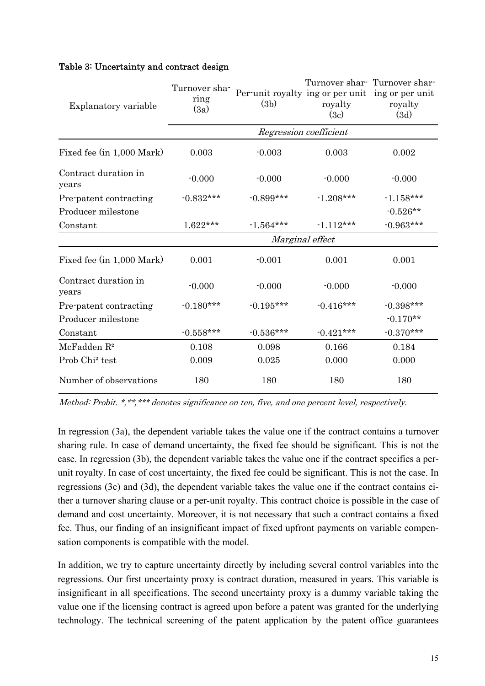| Explanatory variable          | Turnover sha-<br>ring<br>(3a) | Per-unit royalty ing or per unit ing or per unit<br>(3b) | royalty<br>(3c)        | Turnover shar Turnover shar-<br>royalty<br>(3d) |
|-------------------------------|-------------------------------|----------------------------------------------------------|------------------------|-------------------------------------------------|
|                               |                               |                                                          | Regression coefficient |                                                 |
| Fixed fee (in 1,000 Mark)     | 0.003                         | $-0.003$                                                 | 0.003                  | 0.002                                           |
| Contract duration in<br>years | $-0.000$                      | $-0.000$                                                 | $-0.000$               | $-0.000$                                        |
| Pre-patent contracting        | $-0.832***$                   | $-0.899***$                                              | $-1.208***$            | $-1.158***$                                     |
| Producer milestone            |                               |                                                          |                        | $-0.526**$                                      |
| Constant                      | $1.622***$                    | $-1.564***$                                              | $-1.112***$            | $-0.963***$                                     |
|                               | Marginal effect               |                                                          |                        |                                                 |
| Fixed fee (in 1,000 Mark)     | 0.001                         | $-0.001$                                                 | 0.001                  | 0.001                                           |
| Contract duration in<br>years | $-0.000$                      | $-0.000$                                                 | $-0.000$               | $-0.000$                                        |
| Pre-patent contracting        | $-0.180***$                   | $-0.195***$                                              | $-0.416***$            | $-0.398***$                                     |
| Producer milestone            |                               |                                                          |                        | $-0.170**$                                      |
| Constant                      | $-0.558***$                   | $-0.536***$                                              | $-0.421***$            | $-0.370***$                                     |
| McFadden R <sup>2</sup>       | 0.108                         | 0.098                                                    | 0.166                  | 0.184                                           |
| Prob Chi <sup>2</sup> test    | 0.009                         | 0.025                                                    | 0.000                  | 0.000                                           |
| Number of observations        | 180                           | 180                                                      | 180                    | 180                                             |

### Table 3: Uncertainty and contract design

Method: Probit. \*,\*\*,\*\*\* denotes significance on ten, five, and one percent level, respectively.

In regression (3a), the dependent variable takes the value one if the contract contains a turnover sharing rule. In case of demand uncertainty, the fixed fee should be significant. This is not the case. In regression (3b), the dependent variable takes the value one if the contract specifies a perunit royalty. In case of cost uncertainty, the fixed fee could be significant. This is not the case. In regressions (3c) and (3d), the dependent variable takes the value one if the contract contains either a turnover sharing clause or a per-unit royalty. This contract choice is possible in the case of demand and cost uncertainty. Moreover, it is not necessary that such a contract contains a fixed fee. Thus, our finding of an insignificant impact of fixed upfront payments on variable compensation components is compatible with the model.

In addition, we try to capture uncertainty directly by including several control variables into the regressions. Our first uncertainty proxy is contract duration, measured in years. This variable is insignificant in all specifications. The second uncertainty proxy is a dummy variable taking the value one if the licensing contract is agreed upon before a patent was granted for the underlying technology. The technical screening of the patent application by the patent office guarantees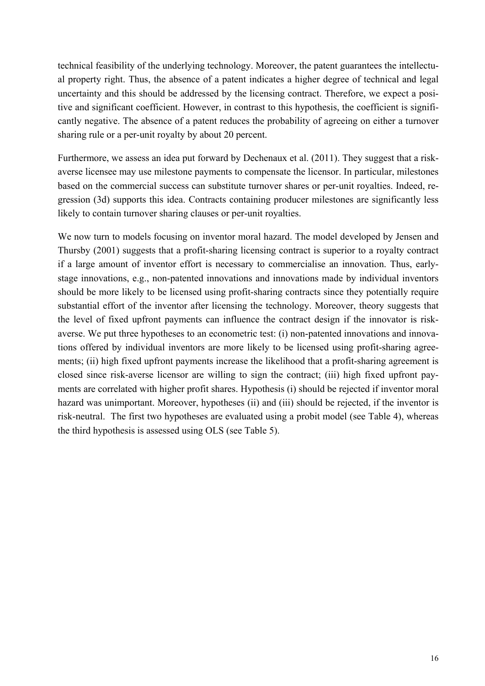technical feasibility of the underlying technology. Moreover, the patent guarantees the intellectual property right. Thus, the absence of a patent indicates a higher degree of technical and legal uncertainty and this should be addressed by the licensing contract. Therefore, we expect a positive and significant coefficient. However, in contrast to this hypothesis, the coefficient is significantly negative. The absence of a patent reduces the probability of agreeing on either a turnover sharing rule or a per-unit royalty by about 20 percent.

Furthermore, we assess an idea put forward by Dechenaux et al. (2011). They suggest that a riskaverse licensee may use milestone payments to compensate the licensor. In particular, milestones based on the commercial success can substitute turnover shares or per-unit royalties. Indeed, regression (3d) supports this idea. Contracts containing producer milestones are significantly less likely to contain turnover sharing clauses or per-unit royalties.

We now turn to models focusing on inventor moral hazard. The model developed by Jensen and Thursby (2001) suggests that a profit-sharing licensing contract is superior to a royalty contract if a large amount of inventor effort is necessary to commercialise an innovation. Thus, earlystage innovations, e.g., non-patented innovations and innovations made by individual inventors should be more likely to be licensed using profit-sharing contracts since they potentially require substantial effort of the inventor after licensing the technology. Moreover, theory suggests that the level of fixed upfront payments can influence the contract design if the innovator is riskaverse. We put three hypotheses to an econometric test: (i) non-patented innovations and innovations offered by individual inventors are more likely to be licensed using profit-sharing agreements; (ii) high fixed upfront payments increase the likelihood that a profit-sharing agreement is closed since risk-averse licensor are willing to sign the contract; (iii) high fixed upfront payments are correlated with higher profit shares. Hypothesis (i) should be rejected if inventor moral hazard was unimportant. Moreover, hypotheses (ii) and (iii) should be rejected, if the inventor is risk-neutral. The first two hypotheses are evaluated using a probit model (see Table 4), whereas the third hypothesis is assessed using OLS (see Table 5).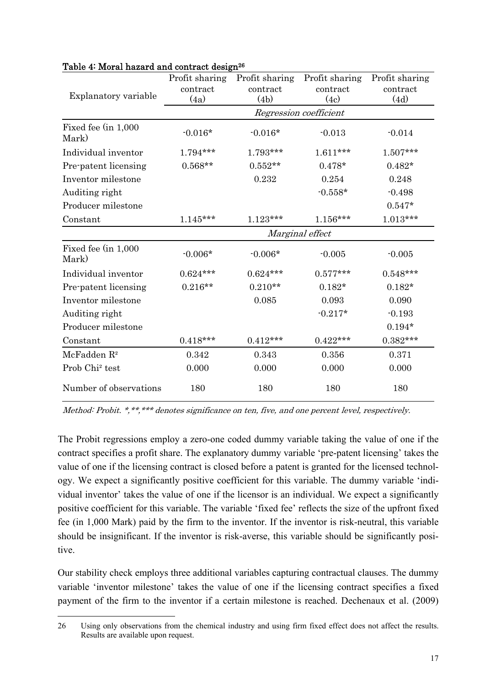| Explanatory variable           | Profit sharing<br>contract<br>(4a) | Profit sharing<br>contract<br>(4b) | Profit sharing<br>contract<br>(4c) | Profit sharing<br>contract<br>(4d) |
|--------------------------------|------------------------------------|------------------------------------|------------------------------------|------------------------------------|
|                                |                                    |                                    | Regression coefficient             |                                    |
| Fixed fee $(in 1,000$<br>Mark) | $-0.016*$                          | $-0.016*$                          | $-0.013$                           | $-0.014$                           |
| Individual inventor            | $1.794***$                         | $1.793***$                         | $1.611***$                         | $1.507***$                         |
| Pre-patent licensing           | $0.568**$                          | $0.552**$                          | $0.478*$                           | $0.482*$                           |
| Inventor milestone             |                                    | 0.232                              | 0.254                              | 0.248                              |
| Auditing right                 |                                    |                                    | $-0.558*$                          | $-0.498$                           |
| Producer milestone             |                                    |                                    |                                    | $0.547*$                           |
| Constant                       | $1.145***$                         | $1.123***$                         | $1.156***$                         | $1.013***$                         |
|                                | Marginal effect                    |                                    |                                    |                                    |
| Fixed fee (in 1,000<br>Mark)   | $-0.006*$                          | $-0.006*$                          | $-0.005$                           | $-0.005$                           |
| Individual inventor            | $0.624***$                         | $0.624***$                         | $0.577***$                         | $0.548***$                         |
| Pre-patent licensing           | $0.216**$                          | $0.210**$                          | $0.182*$                           | $0.182*$                           |
| Inventor milestone             |                                    | 0.085                              | 0.093                              | 0.090                              |
| Auditing right                 |                                    |                                    | $-0.217*$                          | $-0.193$                           |
| Producer milestone             |                                    |                                    |                                    | $0.194*$                           |
| Constant                       | $0.418***$                         | $0.412***$                         | $0.422***$                         | $0.382***$                         |
| McFadden R <sup>2</sup>        | 0.342                              | 0.343                              | 0.356                              | 0.371                              |
| Prob Chi <sup>2</sup> test     | 0.000                              | 0.000                              | 0.000                              | 0.000                              |
| Number of observations         | 180                                | 180                                | 180                                | 180                                |

### Table 4: Moral hazard and contract design<sup>26</sup>

Method: Probit. \*,\*\*,\*\*\* denotes significance on ten, five, and one percent level, respectively.

The Probit regressions employ a zero-one coded dummy variable taking the value of one if the contract specifies a profit share. The explanatory dummy variable 'pre-patent licensing' takes the value of one if the licensing contract is closed before a patent is granted for the licensed technology. We expect a significantly positive coefficient for this variable. The dummy variable 'individual inventor' takes the value of one if the licensor is an individual. We expect a significantly positive coefficient for this variable. The variable 'fixed fee' reflects the size of the upfront fixed fee (in 1,000 Mark) paid by the firm to the inventor. If the inventor is risk-neutral, this variable should be insignificant. If the inventor is risk-averse, this variable should be significantly positive.

Our stability check employs three additional variables capturing contractual clauses. The dummy variable 'inventor milestone' takes the value of one if the licensing contract specifies a fixed payment of the firm to the inventor if a certain milestone is reached. Dechenaux et al. (2009)

<sup>26</sup> Using only observations from the chemical industry and using firm fixed effect does not affect the results. Results are available upon request.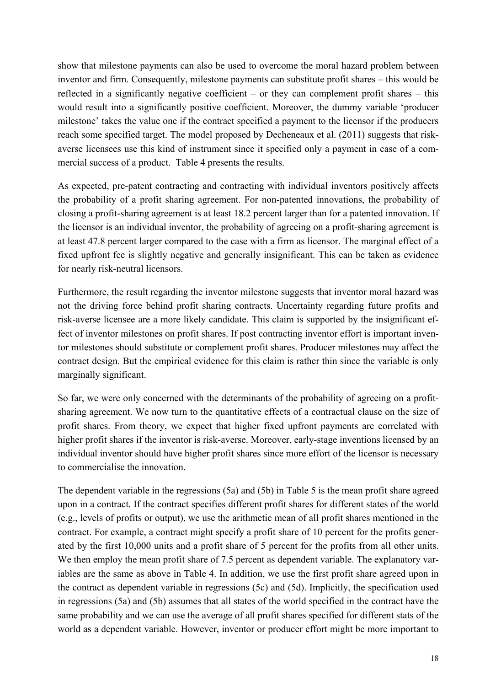show that milestone payments can also be used to overcome the moral hazard problem between inventor and firm. Consequently, milestone payments can substitute profit shares – this would be reflected in a significantly negative coefficient – or they can complement profit shares – this would result into a significantly positive coefficient. Moreover, the dummy variable 'producer milestone' takes the value one if the contract specified a payment to the licensor if the producers reach some specified target. The model proposed by Decheneaux et al. (2011) suggests that riskaverse licensees use this kind of instrument since it specified only a payment in case of a commercial success of a product. Table 4 presents the results.

As expected, pre-patent contracting and contracting with individual inventors positively affects the probability of a profit sharing agreement. For non-patented innovations, the probability of closing a profit-sharing agreement is at least 18.2 percent larger than for a patented innovation. If the licensor is an individual inventor, the probability of agreeing on a profit-sharing agreement is at least 47.8 percent larger compared to the case with a firm as licensor. The marginal effect of a fixed upfront fee is slightly negative and generally insignificant. This can be taken as evidence for nearly risk-neutral licensors.

Furthermore, the result regarding the inventor milestone suggests that inventor moral hazard was not the driving force behind profit sharing contracts. Uncertainty regarding future profits and risk-averse licensee are a more likely candidate. This claim is supported by the insignificant effect of inventor milestones on profit shares. If post contracting inventor effort is important inventor milestones should substitute or complement profit shares. Producer milestones may affect the contract design. But the empirical evidence for this claim is rather thin since the variable is only marginally significant.

So far, we were only concerned with the determinants of the probability of agreeing on a profitsharing agreement. We now turn to the quantitative effects of a contractual clause on the size of profit shares. From theory, we expect that higher fixed upfront payments are correlated with higher profit shares if the inventor is risk-averse. Moreover, early-stage inventions licensed by an individual inventor should have higher profit shares since more effort of the licensor is necessary to commercialise the innovation.

The dependent variable in the regressions (5a) and (5b) in Table 5 is the mean profit share agreed upon in a contract. If the contract specifies different profit shares for different states of the world (e.g., levels of profits or output), we use the arithmetic mean of all profit shares mentioned in the contract. For example, a contract might specify a profit share of 10 percent for the profits generated by the first 10,000 units and a profit share of 5 percent for the profits from all other units. We then employ the mean profit share of 7.5 percent as dependent variable. The explanatory variables are the same as above in Table 4. In addition, we use the first profit share agreed upon in the contract as dependent variable in regressions (5c) and (5d). Implicitly, the specification used in regressions (5a) and (5b) assumes that all states of the world specified in the contract have the same probability and we can use the average of all profit shares specified for different stats of the world as a dependent variable. However, inventor or producer effort might be more important to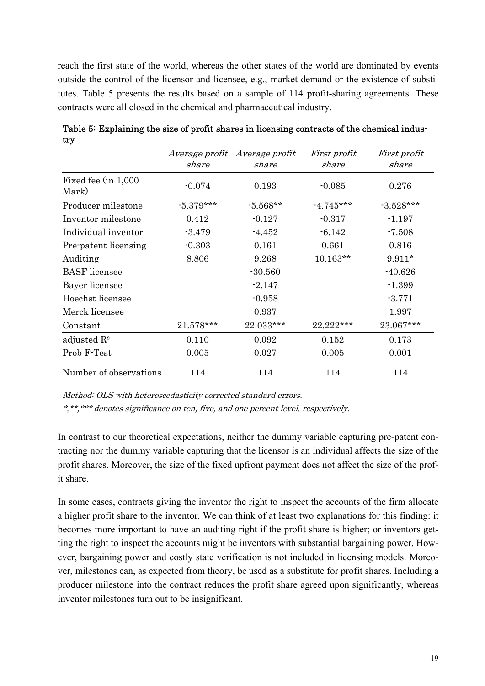reach the first state of the world, whereas the other states of the world are dominated by events outside the control of the licensor and licensee, e.g., market demand or the existence of substitutes. Table 5 presents the results based on a sample of 114 profit-sharing agreements. These contracts were all closed in the chemical and pharmaceutical industry.

|                                | share       | Average profit Average profit<br>share | First profit<br>share | <i>First profit</i><br>share |
|--------------------------------|-------------|----------------------------------------|-----------------------|------------------------------|
| Fixed fee $(in 1,000$<br>Mark) | $-0.074$    | 0.193                                  | $-0.085$              | 0.276                        |
| Producer milestone             | $-5.379***$ | $-5.568**$                             | $-4.745***$           | $-3.528***$                  |
| Inventor milestone             | 0.412       | $-0.127$                               | $-0.317$              | $-1.197$                     |
| Individual inventor            | $-3.479$    | $-4.452$                               | $-6.142$              | $-7.508$                     |
| Pre-patent licensing           | $-0.303$    | 0.161                                  | 0.661                 | 0.816                        |
| Auditing                       | 8.806       | 9.268                                  | 10.163**              | $9.911*$                     |
| <b>BASF</b> licensee           |             | $-30.560$                              |                       | $-40.626$                    |
| Bayer licensee                 |             | $-2.147$                               |                       | $-1.399$                     |
| Hoechst licensee               |             | $-0.958$                               |                       | $-3.771$                     |
| Merck licensee                 |             | 0.937                                  |                       | 1.997                        |
| Constant                       | 21.578***   | 22.033***                              | 22.222***             | 23.067***                    |
| adjusted $\mathbb{R}^2$        | 0.110       | 0.092                                  | 0.152                 | 0.173                        |
| Prob F-Test                    | 0.005       | 0.027                                  | 0.005                 | 0.001                        |
| Number of observations         | 114         | 114                                    | 114                   | 114                          |

Table 5: Explaining the size of profit shares in licensing contracts of the chemical industry

Method: OLS with heteroscedasticity corrected standard errors.

\*,\*\*,\*\*\* denotes significance on ten, five, and one percent level, respectively.

In contrast to our theoretical expectations, neither the dummy variable capturing pre-patent contracting nor the dummy variable capturing that the licensor is an individual affects the size of the profit shares. Moreover, the size of the fixed upfront payment does not affect the size of the profit share.

In some cases, contracts giving the inventor the right to inspect the accounts of the firm allocate a higher profit share to the inventor. We can think of at least two explanations for this finding: it becomes more important to have an auditing right if the profit share is higher; or inventors getting the right to inspect the accounts might be inventors with substantial bargaining power. However, bargaining power and costly state verification is not included in licensing models. Moreover, milestones can, as expected from theory, be used as a substitute for profit shares. Including a producer milestone into the contract reduces the profit share agreed upon significantly, whereas inventor milestones turn out to be insignificant.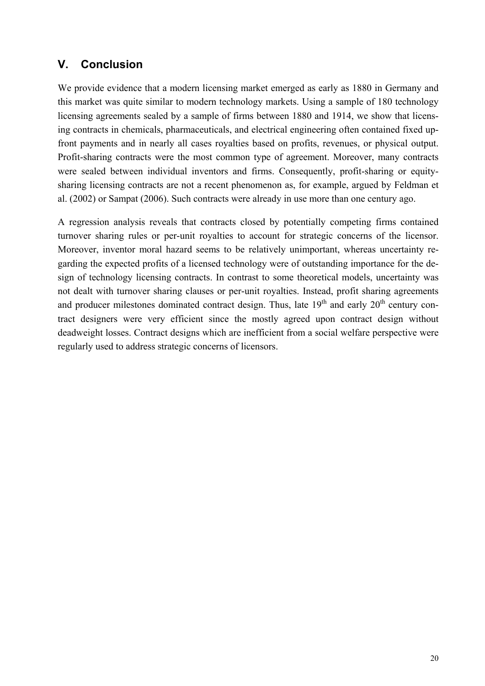# **V. Conclusion**

We provide evidence that a modern licensing market emerged as early as 1880 in Germany and this market was quite similar to modern technology markets. Using a sample of 180 technology licensing agreements sealed by a sample of firms between 1880 and 1914, we show that licensing contracts in chemicals, pharmaceuticals, and electrical engineering often contained fixed upfront payments and in nearly all cases royalties based on profits, revenues, or physical output. Profit-sharing contracts were the most common type of agreement. Moreover, many contracts were sealed between individual inventors and firms. Consequently, profit-sharing or equitysharing licensing contracts are not a recent phenomenon as, for example, argued by Feldman et al. (2002) or Sampat (2006). Such contracts were already in use more than one century ago.

A regression analysis reveals that contracts closed by potentially competing firms contained turnover sharing rules or per-unit royalties to account for strategic concerns of the licensor. Moreover, inventor moral hazard seems to be relatively unimportant, whereas uncertainty regarding the expected profits of a licensed technology were of outstanding importance for the design of technology licensing contracts. In contrast to some theoretical models, uncertainty was not dealt with turnover sharing clauses or per-unit royalties. Instead, profit sharing agreements and producer milestones dominated contract design. Thus, late  $19<sup>th</sup>$  and early  $20<sup>th</sup>$  century contract designers were very efficient since the mostly agreed upon contract design without deadweight losses. Contract designs which are inefficient from a social welfare perspective were regularly used to address strategic concerns of licensors.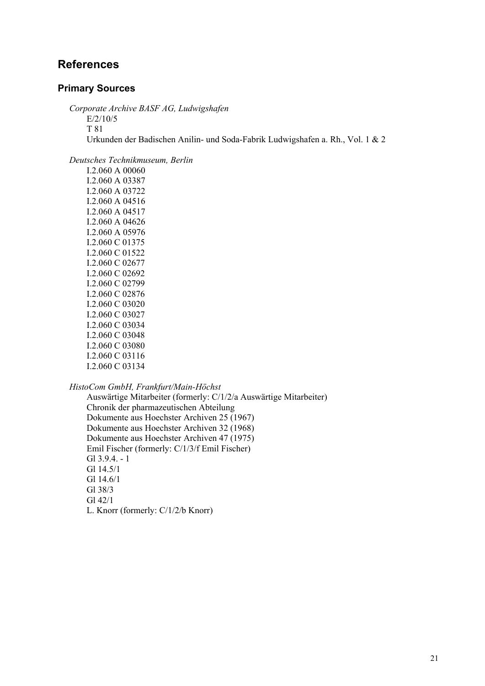## **References**

#### **Primary Sources**

*Corporate Archive BASF AG, Ludwigshafen*  E/2/10/5 T 81 Urkunden der Badischen Anilin- und Soda-Fabrik Ludwigshafen a. Rh., Vol. 1 & 2

*Deutsches Technikmuseum, Berlin* 

 I.2.060 A 00060 I.2.060 A 03387 I.2.060 A 03722 I.2.060 A 04516 I.2.060 A 04517 I.2.060 A 04626 I.2.060 A 05976 I.2.060 C 01375 I.2.060 C 01522 I.2.060 C 02677 I.2.060 C 02692 I.2.060 C 02799 I.2.060 C 02876 I.2.060 C 03020 I.2.060 C 03027 I.2.060 C 03034 I.2.060 C 03048 I.2.060 C 03080 I.2.060 C 03116 I.2.060 C 03134

*HistoCom GmbH, Frankfurt/Main-Höchst* 

 Auswärtige Mitarbeiter (formerly: C/1/2/a Auswärtige Mitarbeiter) Chronik der pharmazeutischen Abteilung Dokumente aus Hoechster Archiven 25 (1967) Dokumente aus Hoechster Archiven 32 (1968) Dokumente aus Hoechster Archiven 47 (1975) Emil Fischer (formerly: C/1/3/f Emil Fischer) Gl 3.9.4. - 1 Gl 14.5/1 Gl 14.6/1 Gl 38/3 Gl 42/1 L. Knorr (formerly: C/1/2/b Knorr)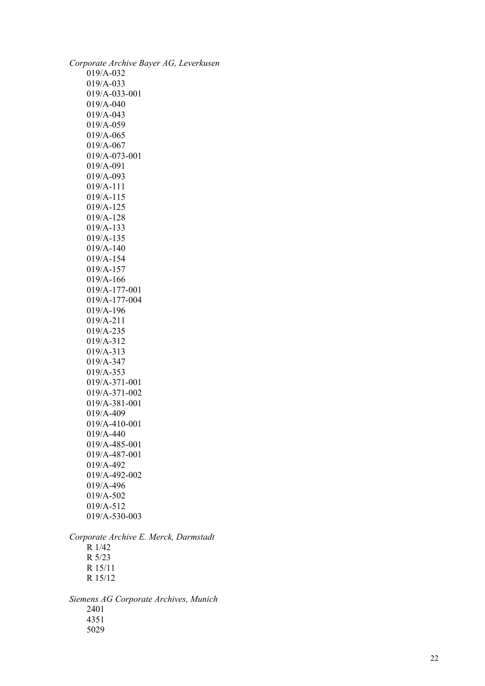| Corporate Archive Bayer AG, Leverkusen |
|----------------------------------------|
| 019/A-032                              |
| 019/A-033                              |
| 019/A-033-001                          |
| 019/A-040                              |
| 019/A-043                              |
| 019/A-059                              |
| 019/A-065                              |
| 019/A-067                              |
| 019/A-073-001                          |
| 019/A-091                              |
| 019/A-093                              |
| 019/A-111                              |
| 019/A-115                              |
| 019/A-125                              |
| 019/A-128                              |
| 019/A-133                              |
| 019/A-135                              |
| $019/A - 140$                          |
| 019/A-154                              |
| 019/A-157                              |
| 019/A-166                              |
| 019/A-177-001                          |
| 019/A-177-004                          |
| $019/A-196$                            |
| 019/A-211                              |
| 019/A-235                              |
| 019/A-312                              |
| 019/A-313                              |
| 019/A-347                              |
| 019/A-353                              |
| 019/A-371-001                          |
| 019/A-371-002                          |
| 019/A-381-001                          |
| 019/A-409                              |
| 019/A-410-001                          |
| $019/A - 440$                          |
| 019/A-485-001                          |
| 019/A-487-001                          |
| 019/A-492                              |
| 019/A-492-002                          |
| 019/A-496                              |
| 019/A-502                              |
| 019/A-512                              |
| 019/A-530-003                          |
|                                        |
| Corporate Archive E. Merck, Darmstadt  |
| R 1/42                                 |
| R 5/23                                 |
| R 15/11                                |

R 15/12

*Siemens AG Corporate Archives, Munich*  2401 4351 5029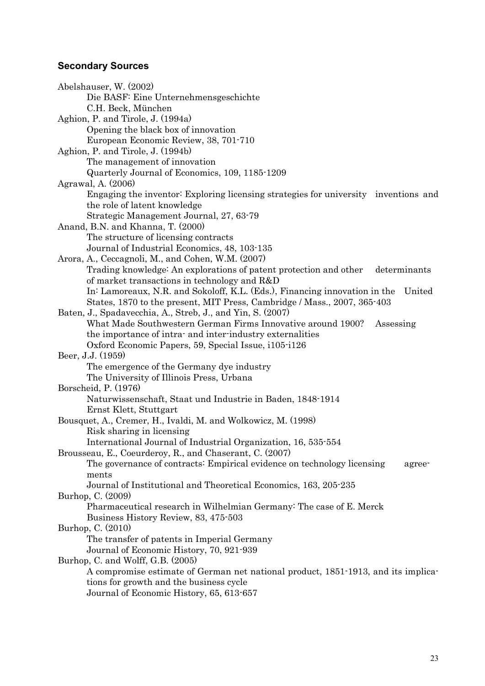### **Secondary Sources**

Abelshauser, W. (2002) Die BASF: Eine Unternehmensgeschichte C.H. Beck, München Aghion, P. and Tirole, J. (1994a) Opening the black box of innovation European Economic Review, 38, 701-710 Aghion, P. and Tirole, J. (1994b) The management of innovation Quarterly Journal of Economics, 109, 1185-1209 Agrawal, A. (2006) Engaging the inventor: Exploring licensing strategies for university inventions and the role of latent knowledge Strategic Management Journal, 27, 63-79 Anand, B.N. and Khanna, T. (2000) The structure of licensing contracts Journal of Industrial Economics, 48, 103-135 Arora, A., Ceccagnoli, M., and Cohen, W.M. (2007) Trading knowledge: An explorations of patent protection and other determinants of market transactions in technology and R&D In: Lamoreaux, N.R. and Sokoloff, K.L. (Eds.), Financing innovation in the United States, 1870 to the present, MIT Press, Cambridge / Mass., 2007, 365-403 Baten, J., Spadavecchia, A., Streb, J., and Yin, S. (2007) What Made Southwestern German Firms Innovative around 1900? Assessing the importance of intra- and inter-industry externalities Oxford Economic Papers, 59, Special Issue, i105-i126 Beer, J.J. (1959) The emergence of the Germany dye industry The University of Illinois Press, Urbana Borscheid, P. (1976) Naturwissenschaft, Staat und Industrie in Baden, 1848-1914 Ernst Klett, Stuttgart Bousquet, A., Cremer, H., Ivaldi, M. and Wolkowicz, M. (1998) Risk sharing in licensing International Journal of Industrial Organization, 16, 535-554 Brousseau, E., Coeurderoy, R., and Chaserant, C. (2007) The governance of contracts: Empirical evidence on technology licensing agreements Journal of Institutional and Theoretical Economics, 163, 205-235 Burhop, C. (2009) Pharmaceutical research in Wilhelmian Germany: The case of E. Merck Business History Review, 83, 475-503 Burhop, C. (2010) The transfer of patents in Imperial Germany Journal of Economic History, 70, 921-939 Burhop, C. and Wolff, G.B. (2005) A compromise estimate of German net national product, 1851-1913, and its implications for growth and the business cycle Journal of Economic History, 65, 613-657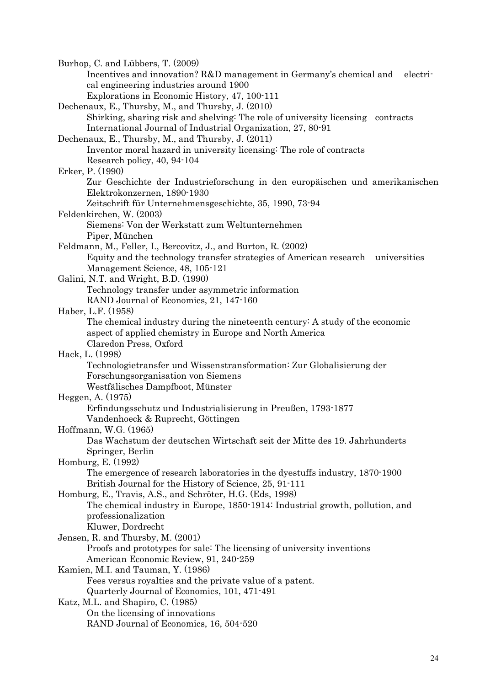| Burhop, C. and Lübbers, T. (2009)                                               |
|---------------------------------------------------------------------------------|
| Incentives and innovation? R&D management in Germany's chemical and<br>electri- |
| cal engineering industries around 1900                                          |
| Explorations in Economic History, 47, 100-111                                   |
| Dechenaux, E., Thursby, M., and Thursby, J. (2010)                              |
| Shirking, sharing risk and shelving: The role of university licensing contracts |
| International Journal of Industrial Organization, 27, 80-91                     |
| Dechenaux, E., Thursby, M., and Thursby, J. (2011)                              |
| Inventor moral hazard in university licensing: The role of contracts            |
| Research policy, 40, 94-104                                                     |
| Erker, P. (1990)                                                                |
| Zur Geschichte der Industrieforschung in den europäischen und amerikanischen    |
| Elektrokonzernen, 1890-1930                                                     |
| Zeitschrift für Unternehmensgeschichte, 35, 1990, 73-94                         |
| Feldenkirchen, W. (2003)                                                        |
| Siemens: Von der Werkstatt zum Weltunternehmen                                  |
| Piper, München                                                                  |
| Feldmann, M., Feller, I., Bercovitz, J., and Burton, R. (2002)                  |
| Equity and the technology transfer strategies of American research universities |
| Management Science, 48, 105-121                                                 |
| Galini, N.T. and Wright, B.D. (1990)                                            |
| Technology transfer under asymmetric information                                |
| RAND Journal of Economics, 21, 147-160                                          |
| Haber, L.F. (1958)                                                              |
| The chemical industry during the nineteenth century: A study of the economic    |
| aspect of applied chemistry in Europe and North America                         |
| Claredon Press, Oxford                                                          |
| Hack, L. (1998)                                                                 |
| Technologietransfer und Wissenstransformation: Zur Globalisierung der           |
| Forschungsorganisation von Siemens                                              |
| Westfälisches Dampfboot, Münster                                                |
| Heggen, A. (1975)                                                               |
| Erfindungsschutz und Industrialisierung in Preußen, 1793-1877                   |
| Vandenhoeck & Ruprecht, Göttingen                                               |
| Hoffmann, W.G. (1965)                                                           |
| Das Wachstum der deutschen Wirtschaft seit der Mitte des 19. Jahrhunderts       |
| Springer, Berlin                                                                |
| Homburg, E. (1992)                                                              |
| The emergence of research laboratories in the dyestuffs industry, 1870-1900     |
| British Journal for the History of Science, 25, 91-111                          |
| Homburg, E., Travis, A.S., and Schröter, H.G. (Eds, 1998)                       |
| The chemical industry in Europe, 1850-1914: Industrial growth, pollution, and   |
| professionalization                                                             |
| Kluwer, Dordrecht                                                               |
| Jensen, R. and Thursby, M. (2001)                                               |
| Proofs and prototypes for sale: The licensing of university inventions          |
| American Economic Review, 91, 240-259                                           |
| Kamien, M.I. and Tauman, Y. (1986)                                              |
| Fees versus royalties and the private value of a patent.                        |
| Quarterly Journal of Economics, 101, 471-491                                    |
| Katz, M.L. and Shapiro, C. (1985)                                               |
| On the licensing of innovations                                                 |
| RAND Journal of Economics, 16, 504-520                                          |
|                                                                                 |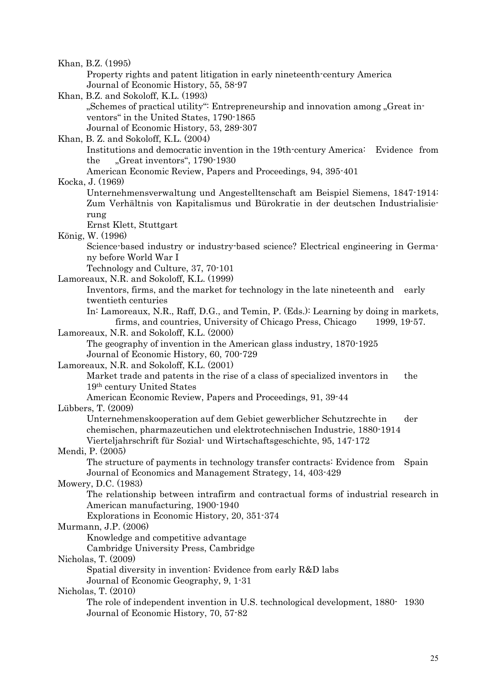Khan, B.Z. (1995) Property rights and patent litigation in early nineteenth-century America Journal of Economic History, 55, 58-97 Khan, B.Z. and Sokoloff, K.L. (1993) "Schemes of practical utility": Entrepreneurship and innovation among "Great inventors" in the United States, 1790-1865 Journal of Economic History, 53, 289-307 Khan, B. Z. and Sokoloff, K.L. (2004) Institutions and democratic invention in the 19th-century America: Evidence from the "Great inventors", 1790-1930 American Economic Review, Papers and Proceedings, 94, 395-401 Kocka, J. (1969) Unternehmensverwaltung und Angestelltenschaft am Beispiel Siemens, 1847-1914: Zum Verhältnis von Kapitalismus und Bürokratie in der deutschen Industrialisierung Ernst Klett, Stuttgart König, W. (1996) Science-based industry or industry-based science? Electrical engineering in Germany before World War I Technology and Culture, 37, 70-101 Lamoreaux, N.R. and Sokoloff, K.L. (1999) Inventors, firms, and the market for technology in the late nineteenth and early twentieth centuries In: Lamoreaux, N.R., Raff, D.G., and Temin, P. (Eds.): Learning by doing in markets, firms, and countries, University of Chicago Press, Chicago 1999, 19-57. Lamoreaux, N.R. and Sokoloff, K.L. (2000) The geography of invention in the American glass industry, 1870-1925 Journal of Economic History, 60, 700-729 Lamoreaux, N.R. and Sokoloff, K.L. (2001) Market trade and patents in the rise of a class of specialized inventors in the 19th century United States American Economic Review, Papers and Proceedings, 91, 39-44 Lübbers, T. (2009) Unternehmenskooperation auf dem Gebiet gewerblicher Schutzrechte in der chemischen, pharmazeutichen und elektrotechnischen Industrie, 1880-1914 Vierteljahrschrift für Sozial- und Wirtschaftsgeschichte, 95, 147-172 Mendi, P. (2005) The structure of payments in technology transfer contracts: Evidence from Spain Journal of Economics and Management Strategy, 14, 403-429 Mowery, D.C. (1983) The relationship between intrafirm and contractual forms of industrial research in American manufacturing, 1900-1940 Explorations in Economic History, 20, 351-374 Murmann, J.P. (2006) Knowledge and competitive advantage Cambridge University Press, Cambridge Nicholas, T. (2009) Spatial diversity in invention: Evidence from early R&D labs Journal of Economic Geography, 9, 1-31 Nicholas, T. (2010) The role of independent invention in U.S. technological development, 1880- 1930 Journal of Economic History, 70, 57-82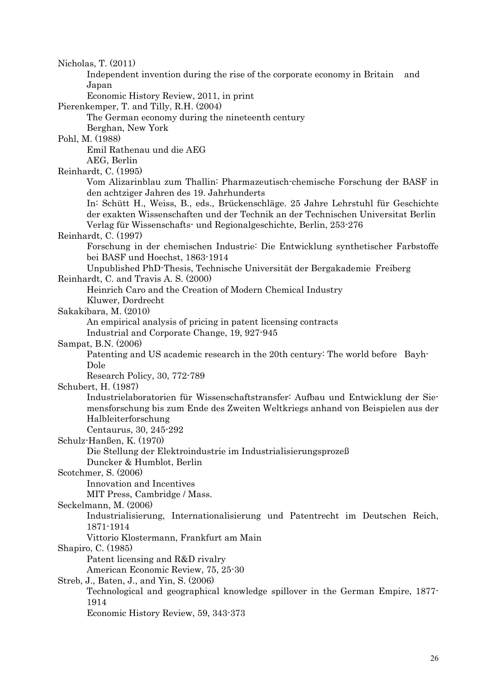Nicholas, T. (2011) Independent invention during the rise of the corporate economy in Britain and Japan Economic History Review, 2011, in print Pierenkemper, T. and Tilly, R.H. (2004) The German economy during the nineteenth century Berghan, New York Pohl, M. (1988) Emil Rathenau und die AEG AEG, Berlin Reinhardt, C. (1995) Vom Alizarinblau zum Thallin: Pharmazeutisch-chemische Forschung der BASF in den achtziger Jahren des 19. Jahrhunderts In: Schütt H., Weiss, B., eds., Brückenschläge. 25 Jahre Lehrstuhl für Geschichte der exakten Wissenschaften und der Technik an der Technischen Universitat Berlin Verlag für Wissenschafts- und Regionalgeschichte, Berlin, 253-276 Reinhardt, C. (1997) Forschung in der chemischen Industrie: Die Entwicklung synthetischer Farbstoffe bei BASF und Hoechst, 1863-1914 Unpublished PhD-Thesis, Technische Universität der Bergakademie Freiberg Reinhardt, C. and Travis A. S. (2000) Heinrich Caro and the Creation of Modern Chemical Industry Kluwer, Dordrecht Sakakibara, M. (2010) An empirical analysis of pricing in patent licensing contracts Industrial and Corporate Change, 19, 927-945 Sampat, B.N. (2006) Patenting and US academic research in the 20th century: The world before Bayh-Dole Research Policy, 30, 772-789 Schubert, H. (1987) Industrielaboratorien für Wissenschaftstransfer: Aufbau und Entwicklung der Siemensforschung bis zum Ende des Zweiten Weltkriegs anhand von Beispielen aus der Halbleiterforschung Centaurus, 30, 245-292 Schulz-Hanßen, K. (1970) Die Stellung der Elektroindustrie im Industrialisierungsprozeß Duncker & Humblot, Berlin Scotchmer, S. (2006) Innovation and Incentives MIT Press, Cambridge / Mass. Seckelmann, M. (2006) Industrialisierung, Internationalisierung und Patentrecht im Deutschen Reich, 1871-1914 Vittorio Klostermann, Frankfurt am Main Shapiro, C. (1985) Patent licensing and R&D rivalry American Economic Review, 75, 25-30 Streb, J., Baten, J., and Yin, S. (2006) Technological and geographical knowledge spillover in the German Empire, 1877- 1914 Economic History Review, 59, 343-373